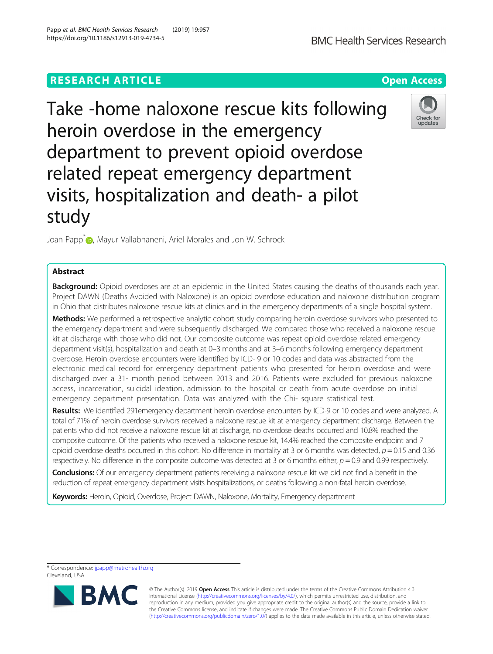# **RESEARCH ARTICLE Example 2014 12:30 The Contract of Contract ACCESS**

Take -home naloxone rescue kits following heroin overdose in the emergency department to prevent opioid overdose related repeat emergency department visits, hospitalization and death- a pilot study

Joan Papp<sup>[\\*](http://orcid.org/0000-0002-5974-7630)</sup> , Mayur Vallabhaneni, Ariel Morales and Jon W. Schrock

## Abstract

Background: Opioid overdoses are at an epidemic in the United States causing the deaths of thousands each year. Project DAWN (Deaths Avoided with Naloxone) is an opioid overdose education and naloxone distribution program in Ohio that distributes naloxone rescue kits at clinics and in the emergency departments of a single hospital system.

Methods: We performed a retrospective analytic cohort study comparing heroin overdose survivors who presented to the emergency department and were subsequently discharged. We compared those who received a naloxone rescue kit at discharge with those who did not. Our composite outcome was repeat opioid overdose related emergency department visit(s), hospitalization and death at 0–3 months and at 3–6 months following emergency department overdose. Heroin overdose encounters were identified by ICD- 9 or 10 codes and data was abstracted from the electronic medical record for emergency department patients who presented for heroin overdose and were discharged over a 31- month period between 2013 and 2016. Patients were excluded for previous naloxone access, incarceration, suicidal ideation, admission to the hospital or death from acute overdose on initial emergency department presentation. Data was analyzed with the Chi- square statistical test.

Results: We identified 291emergency department heroin overdose encounters by ICD-9 or 10 codes and were analyzed. A total of 71% of heroin overdose survivors received a naloxone rescue kit at emergency department discharge. Between the patients who did not receive a naloxone rescue kit at discharge, no overdose deaths occurred and 10.8% reached the composite outcome. Of the patients who received a naloxone rescue kit, 14.4% reached the composite endpoint and 7 opioid overdose deaths occurred in this cohort. No difference in mortality at 3 or 6 months was detected,  $p = 0.15$  and 0.36 respectively. No difference in the composite outcome was detected at 3 or 6 months either,  $p = 0.9$  and 0.99 respectively.

Conclusions: Of our emergency department patients receiving a naloxone rescue kit we did not find a benefit in the reduction of repeat emergency department visits hospitalizations, or deaths following a non-fatal heroin overdose.

Keywords: Heroin, Opioid, Overdose, Project DAWN, Naloxone, Mortality, Emergency department

Cleveland, USA



<sup>©</sup> The Author(s). 2019 **Open Access** This article is distributed under the terms of the Creative Commons Attribution 4.0 International License [\(http://creativecommons.org/licenses/by/4.0/](http://creativecommons.org/licenses/by/4.0/)), which permits unrestricted use, distribution, and reproduction in any medium, provided you give appropriate credit to the original author(s) and the source, provide a link to the Creative Commons license, and indicate if changes were made. The Creative Commons Public Domain Dedication waiver [\(http://creativecommons.org/publicdomain/zero/1.0/](http://creativecommons.org/publicdomain/zero/1.0/)) applies to the data made available in this article, unless otherwise stated.



<sup>\*</sup> Correspondence: [jpapp@metrohealth.org](mailto:jpapp@metrohealth.org)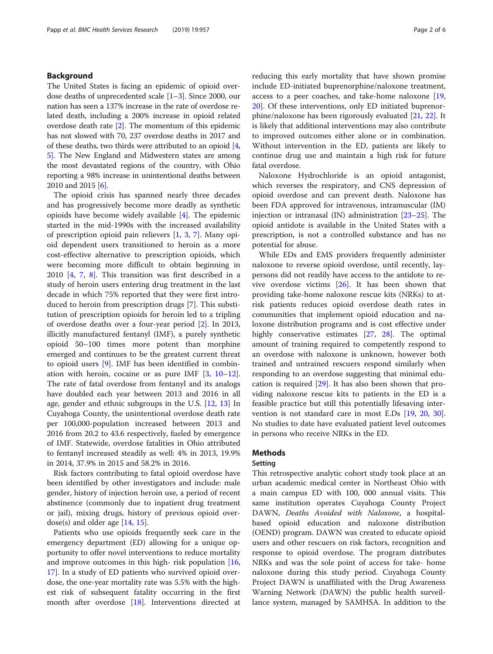## Background

The United States is facing an epidemic of opioid overdose deaths of unprecedented scale [[1](#page-5-0)–[3](#page-5-0)]. Since 2000, our nation has seen a 137% increase in the rate of overdose related death, including a 200% increase in opioid related overdose death rate [\[2](#page-5-0)]. The momentum of this epidemic has not slowed with 70, 237 overdose deaths in 2017 and of these deaths, two thirds were attributed to an opioid [[4](#page-5-0), [5\]](#page-5-0). The New England and Midwestern states are among the most devastated regions of the country, with Ohio reporting a 98% increase in unintentional deaths between 2010 and 2015 [\[6\]](#page-5-0).

The opioid crisis has spanned nearly three decades and has progressively become more deadly as synthetic opioids have become widely available [[4](#page-5-0)]. The epidemic started in the mid-1990s with the increased availability of prescription opioid pain relievers [\[1](#page-5-0), [3,](#page-5-0) [7](#page-5-0)]. Many opioid dependent users transitioned to heroin as a more cost-effective alternative to prescription opioids, which were becoming more difficult to obtain beginning in 2010 [\[4](#page-5-0), [7,](#page-5-0) [8\]](#page-5-0). This transition was first described in a study of heroin users entering drug treatment in the last decade in which 75% reported that they were first introduced to heroin from prescription drugs [[7\]](#page-5-0). This substitution of prescription opioids for heroin led to a tripling of overdose deaths over a four-year period [\[2](#page-5-0)]. In 2013, illicitly manufactured fentanyl (IMF), a purely synthetic opioid 50–100 times more potent than morphine emerged and continues to be the greatest current threat to opioid users [\[9](#page-5-0)]. IMF has been identified in combination with heroin, cocaine or as pure IMF [[3,](#page-5-0) [10](#page-5-0)–[12](#page-5-0)]. The rate of fatal overdose from fentanyl and its analogs have doubled each year between 2013 and 2016 in all age, gender and ethnic subgroups in the U.S. [\[12,](#page-5-0) [13](#page-5-0)] In Cuyahoga County, the unintentional overdose death rate per 100,000-population increased between 2013 and 2016 from 20.2 to 43.6 respectively, fueled by emergence of IMF. Statewide, overdose fatalities in Ohio attributed to fentanyl increased steadily as well: 4% in 2013, 19.9% in 2014, 37.9% in 2015 and 58.2% in 2016.

Risk factors contributing to fatal opioid overdose have been identified by other investigators and include: male gender, history of injection heroin use, a period of recent abstinence (commonly due to inpatient drug treatment or jail), mixing drugs, history of previous opioid overdose(s) and older age  $[14, 15]$  $[14, 15]$  $[14, 15]$  $[14, 15]$  $[14, 15]$ .

Patients who use opioids frequently seek care in the emergency department (ED) allowing for a unique opportunity to offer novel interventions to reduce mortality and improve outcomes in this high- risk population [[16](#page-5-0), [17\]](#page-5-0). In a study of ED patients who survived opioid overdose, the one-year mortality rate was 5.5% with the highest risk of subsequent fatality occurring in the first month after overdose [\[18\]](#page-5-0). Interventions directed at reducing this early mortality that have shown promise include ED-initiated buprenorphine/naloxone treatment, access to a peer coaches, and take-home naloxone [[19](#page-5-0), [20\]](#page-5-0). Of these interventions, only ED initiated buprenorphine/naloxone has been rigorously evaluated [[21,](#page-5-0) [22\]](#page-5-0). It is likely that additional interventions may also contribute to improved outcomes either alone or in combination. Without intervention in the ED, patients are likely to continue drug use and maintain a high risk for future fatal overdose.

Naloxone Hydrochloride is an opioid antagonist, which reverses the respiratory, and CNS depression of opioid overdose and can prevent death. Naloxone has been FDA approved for intravenous, intramuscular (IM) injection or intranasal (IN) administration [[23](#page-5-0)–[25](#page-5-0)]. The opioid antidote is available in the United States with a prescription, is not a controlled substance and has no potential for abuse.

While EDs and EMS providers frequently administer naloxone to reverse opioid overdose, until recently, laypersons did not readily have access to the antidote to revive overdose victims [[26\]](#page-5-0). It has been shown that providing take-home naloxone rescue kits (NRKs) to atrisk patients reduces opioid overdose death rates in communities that implement opioid education and naloxone distribution programs and is cost effective under highly conservative estimates [\[27](#page-5-0), [28](#page-5-0)]. The optimal amount of training required to competently respond to an overdose with naloxone is unknown, however both trained and untrained rescuers respond similarly when responding to an overdose suggesting that minimal education is required [\[29\]](#page-5-0). It has also been shown that providing naloxone rescue kits to patients in the ED is a feasible practice but still this potentially lifesaving intervention is not standard care in most E.Ds [\[19,](#page-5-0) [20](#page-5-0), [30](#page-5-0)]. No studies to date have evaluated patient level outcomes in persons who receive NRKs in the ED.

## Methods

## Setting

This retrospective analytic cohort study took place at an urban academic medical center in Northeast Ohio with a main campus ED with 100, 000 annual visits. This same institution operates Cuyahoga County Project DAWN, Deaths Avoided with Naloxone, a hospitalbased opioid education and naloxone distribution (OEND) program. DAWN was created to educate opioid users and other rescuers on risk factors, recognition and response to opioid overdose. The program distributes NRKs and was the sole point of access for take- home naloxone during this study period. Cuyahoga County Project DAWN is unaffiliated with the Drug Awareness Warning Network (DAWN) the public health surveillance system, managed by SAMHSA. In addition to the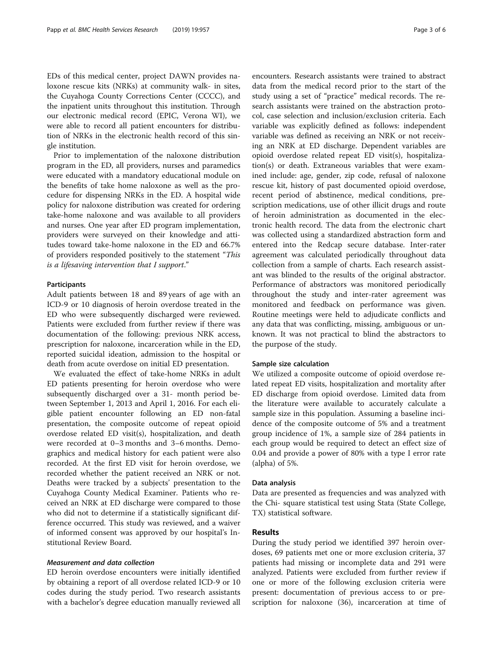EDs of this medical center, project DAWN provides naloxone rescue kits (NRKs) at community walk- in sites, the Cuyahoga County Corrections Center (CCCC), and the inpatient units throughout this institution. Through our electronic medical record (EPIC, Verona WI), we were able to record all patient encounters for distribution of NRKs in the electronic health record of this single institution.

Prior to implementation of the naloxone distribution program in the ED, all providers, nurses and paramedics were educated with a mandatory educational module on the benefits of take home naloxone as well as the procedure for dispensing NRKs in the ED. A hospital wide policy for naloxone distribution was created for ordering take-home naloxone and was available to all providers and nurses. One year after ED program implementation, providers were surveyed on their knowledge and attitudes toward take-home naloxone in the ED and 66.7% of providers responded positively to the statement "This is a lifesaving intervention that I support."

## Participants

Adult patients between 18 and 89 years of age with an ICD-9 or 10 diagnosis of heroin overdose treated in the ED who were subsequently discharged were reviewed. Patients were excluded from further review if there was documentation of the following: previous NRK access, prescription for naloxone, incarceration while in the ED, reported suicidal ideation, admission to the hospital or death from acute overdose on initial ED presentation.

We evaluated the effect of take-home NRKs in adult ED patients presenting for heroin overdose who were subsequently discharged over a 31- month period between September 1, 2013 and April 1, 2016. For each eligible patient encounter following an ED non-fatal presentation, the composite outcome of repeat opioid overdose related ED visit(s), hospitalization, and death were recorded at 0–3 months and 3–6 months. Demographics and medical history for each patient were also recorded. At the first ED visit for heroin overdose, we recorded whether the patient received an NRK or not. Deaths were tracked by a subjects' presentation to the Cuyahoga County Medical Examiner. Patients who received an NRK at ED discharge were compared to those who did not to determine if a statistically significant difference occurred. This study was reviewed, and a waiver of informed consent was approved by our hospital's Institutional Review Board.

## Measurement and data collection

ED heroin overdose encounters were initially identified by obtaining a report of all overdose related ICD-9 or 10 codes during the study period. Two research assistants with a bachelor's degree education manually reviewed all

encounters. Research assistants were trained to abstract data from the medical record prior to the start of the study using a set of "practice" medical records. The research assistants were trained on the abstraction protocol, case selection and inclusion/exclusion criteria. Each variable was explicitly defined as follows: independent variable was defined as receiving an NRK or not receiving an NRK at ED discharge. Dependent variables are opioid overdose related repeat ED visit(s), hospitalization(s) or death. Extraneous variables that were examined include: age, gender, zip code, refusal of naloxone rescue kit, history of past documented opioid overdose, recent period of abstinence, medical conditions, prescription medications, use of other illicit drugs and route of heroin administration as documented in the electronic health record. The data from the electronic chart was collected using a standardized abstraction form and entered into the Redcap secure database. Inter-rater agreement was calculated periodically throughout data collection from a sample of charts. Each research assistant was blinded to the results of the original abstractor. Performance of abstractors was monitored periodically throughout the study and inter-rater agreement was monitored and feedback on performance was given. Routine meetings were held to adjudicate conflicts and any data that was conflicting, missing, ambiguous or unknown. It was not practical to blind the abstractors to the purpose of the study.

#### Sample size calculation

We utilized a composite outcome of opioid overdose related repeat ED visits, hospitalization and mortality after ED discharge from opioid overdose. Limited data from the literature were available to accurately calculate a sample size in this population. Assuming a baseline incidence of the composite outcome of 5% and a treatment group incidence of 1%, a sample size of 284 patients in each group would be required to detect an effect size of 0.04 and provide a power of 80% with a type I error rate (alpha) of 5%.

#### Data analysis

Data are presented as frequencies and was analyzed with the Chi- square statistical test using Stata (State College, TX) statistical software.

## Results

During the study period we identified 397 heroin overdoses, 69 patients met one or more exclusion criteria, 37 patients had missing or incomplete data and 291 were analyzed. Patients were excluded from further review if one or more of the following exclusion criteria were present: documentation of previous access to or prescription for naloxone (36), incarceration at time of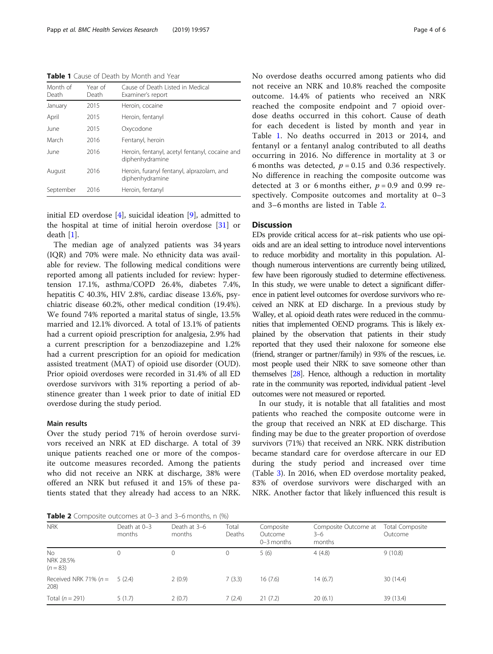<span id="page-3-0"></span>Table 1 Cause of Death by Month and Year

| Month of<br>Death | Year of<br>Death | Cause of Death Listed in Medical<br>Examiner's report             |
|-------------------|------------------|-------------------------------------------------------------------|
| January           | 2015             | Heroin, cocaine                                                   |
| April             | 2015             | Heroin, fentanyl                                                  |
| June              | 2015             | Oxycodone                                                         |
| March             | 2016             | Fentanyl, heroin                                                  |
| June              | 2016             | Heroin, fentanyl, acetyl fentanyl, cocaine and<br>diphenhydramine |
| August            | 2016             | Heroin, furanyl fentanyl, alprazolam, and<br>diphenhydramine      |
| September         | 2016             | Heroin, fentanyl                                                  |

initial ED overdose [[4\]](#page-5-0), suicidal ideation [\[9\]](#page-5-0), admitted to the hospital at time of initial heroin overdose [[31\]](#page-5-0) or death [\[1](#page-5-0)].

The median age of analyzed patients was 34 years (IQR) and 70% were male. No ethnicity data was available for review. The following medical conditions were reported among all patients included for review: hypertension 17.1%, asthma/COPD 26.4%, diabetes 7.4%, hepatitis C 40.3%, HIV 2.8%, cardiac disease 13.6%, psychiatric disease 60.2%, other medical condition (19.4%). We found 74% reported a marital status of single, 13.5% married and 12.1% divorced. A total of 13.1% of patients had a current opioid prescription for analgesia, 2.9% had a current prescription for a benzodiazepine and 1.2% had a current prescription for an opioid for medication assisted treatment (MAT) of opioid use disorder (OUD). Prior opioid overdoses were recorded in 31.4% of all ED overdose survivors with 31% reporting a period of abstinence greater than 1 week prior to date of initial ED overdose during the study period.

## Main results

Over the study period 71% of heroin overdose survivors received an NRK at ED discharge. A total of 39 unique patients reached one or more of the composite outcome measures recorded. Among the patients who did not receive an NRK at discharge, 38% were offered an NRK but refused it and 15% of these patients stated that they already had access to an NRK.

**Table 2** Composite outcomes at  $0-3$  and  $3-6$  months, n  $(\%)$ 

No overdose deaths occurred among patients who did not receive an NRK and 10.8% reached the composite outcome. 14.4% of patients who received an NRK reached the composite endpoint and 7 opioid overdose deaths occurred in this cohort. Cause of death for each decedent is listed by month and year in Table 1. No deaths occurred in 2013 or 2014, and fentanyl or a fentanyl analog contributed to all deaths occurring in 2016. No difference in mortality at 3 or 6 months was detected,  $p = 0.15$  and 0.36 respectively. No difference in reaching the composite outcome was detected at 3 or 6 months either,  $p = 0.9$  and 0.99 respectively. Composite outcomes and mortality at 0–3 and 3–6 months are listed in Table 2.

## **Discussion**

EDs provide critical access for at–risk patients who use opioids and are an ideal setting to introduce novel interventions to reduce morbidity and mortality in this population. Although numerous interventions are currently being utilized, few have been rigorously studied to determine effectiveness. In this study, we were unable to detect a significant difference in patient level outcomes for overdose survivors who received an NRK at ED discharge. In a previous study by Walley, et al. opioid death rates were reduced in the communities that implemented OEND programs. This is likely explained by the observation that patients in their study reported that they used their naloxone for someone else (friend, stranger or partner/family) in 93% of the rescues, i.e. most people used their NRK to save someone other than themselves [\[28\]](#page-5-0). Hence, although a reduction in mortality rate in the community was reported, individual patient -level outcomes were not measured or reported.

In our study, it is notable that all fatalities and most patients who reached the composite outcome were in the group that received an NRK at ED discharge. This finding may be due to the greater proportion of overdose survivors (71%) that received an NRK. NRK distribution became standard care for overdose aftercare in our ED during the study period and increased over time (Table [3](#page-4-0)). In 2016, when ED overdose mortality peaked, 83% of overdose survivors were discharged with an NRK. Another factor that likely influenced this result is

| <b>NRK</b>                                | Death at 0-3<br>months | Death at 3-6<br>months | Total<br>Deaths | Composite<br>Outcome<br>$0-3$ months | Composite Outcome at<br>$3 - 6$<br>months | Total Composite<br>Outcome |
|-------------------------------------------|------------------------|------------------------|-----------------|--------------------------------------|-------------------------------------------|----------------------------|
| N <sub>o</sub><br>NRK 28.5%<br>$(n = 83)$ | 0                      |                        |                 | 5(6)                                 | 4(4.8)                                    | 9(10.8)                    |
| Received NRK 71% ( $n =$<br>208           | 5(2.4)                 | 2(0.9)                 | 7(3.3)          | 16(7.6)                              | 14(6.7)                                   | 30(14.4)                   |
| Total $(n = 291)$                         | 5(1.7)                 | 2(0.7)                 | 7(2.4)          | 21(7.2)                              | 20(6.1)                                   | 39 (13.4)                  |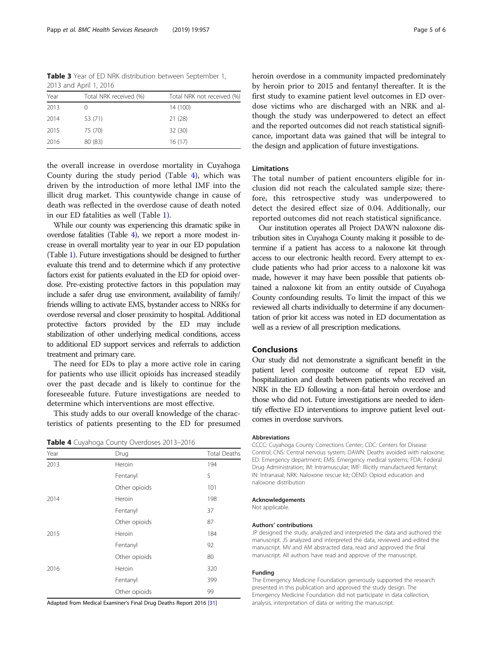<span id="page-4-0"></span>Table 3 Year of ED NRK distribution between September 1, 2013 and April 1, 2016

| Year | Total NRK received (%) | Total NRK not received (%) |
|------|------------------------|----------------------------|
| 2013 |                        | 14 (100)                   |
| 2014 | 53 (71)                | 21(28)                     |
| 2015 | 75 (70)                | 32 (30)                    |
| 2016 | 80 (83)                | 16(17)                     |

the overall increase in overdose mortality in Cuyahoga County during the study period (Table 4), which was driven by the introduction of more lethal IMF into the illicit drug market. This countywide change in cause of death was reflected in the overdose cause of death noted in our ED fatalities as well (Table [1\)](#page-3-0).

While our county was experiencing this dramatic spike in overdose fatalities (Table 4), we report a more modest increase in overall mortality year to year in our ED population (Table [1](#page-3-0)). Future investigations should be designed to further evaluate this trend and to determine which if any protective factors exist for patients evaluated in the ED for opioid overdose. Pre-existing protective factors in this population may include a safer drug use environment, availability of family/ friends willing to activate EMS, bystander access to NRKs for overdose reversal and closer proximity to hospital. Additional protective factors provided by the ED may include stabilization of other underlying medical conditions, access to additional ED support services and referrals to addiction treatment and primary care.

The need for EDs to play a more active role in caring for patients who use illicit opioids has increased steadily over the past decade and is likely to continue for the foreseeable future. Future investigations are needed to determine which interventions are most effective.

This study adds to our overall knowledge of the characteristics of patients presenting to the ED for presumed

|  |  |  |  | Table 4 Cuyahoga County Overdoses 2013-2016 |
|--|--|--|--|---------------------------------------------|
|--|--|--|--|---------------------------------------------|

| Year | Drug          | <b>Total Deaths</b> |
|------|---------------|---------------------|
| 2013 | Heroin        | 194                 |
|      | Fentanyl      | 5                   |
|      | Other opioids | 101                 |
| 2014 | Heroin        | 198                 |
|      | Fentanyl      | 37                  |
|      | Other opioids | 87                  |
| 2015 | Heroin        | 184                 |
|      | Fentanyl      | 92                  |
|      | Other opioids | 80                  |
| 2016 | Heroin        | 320                 |
|      | Fentanyl      | 399                 |
|      | Other opioids | 99                  |

Adapted from Medical Examiner's Final Drug Deaths Report 2016 [\[31](#page-5-0)]

heroin overdose in a community impacted predominately by heroin prior to 2015 and fentanyl thereafter. It is the first study to examine patient level outcomes in ED overdose victims who are discharged with an NRK and although the study was underpowered to detect an effect and the reported outcomes did not reach statistical significance, important data was gained that will be integral to the design and application of future investigations.

## Limitations

The total number of patient encounters eligible for inclusion did not reach the calculated sample size; therefore, this retrospective study was underpowered to detect the desired effect size of 0.04. Additionally, our reported outcomes did not reach statistical significance.

Our institution operates all Project DAWN naloxone distribution sites in Cuyahoga County making it possible to determine if a patient has access to a naloxone kit through access to our electronic health record. Every attempt to exclude patients who had prior access to a naloxone kit was made, however it may have been possible that patients obtained a naloxone kit from an entity outside of Cuyahoga County confounding results. To limit the impact of this we reviewed all charts individually to determine if any documentation of prior kit access was noted in ED documentation as well as a review of all prescription medications.

## Conclusions

Our study did not demonstrate a significant benefit in the patient level composite outcome of repeat ED visit, hospitalization and death between patients who received an NRK in the ED following a non-fatal heroin overdose and those who did not. Future investigations are needed to identify effective ED interventions to improve patient level outcomes in overdose survivors.

#### Abbreviations

CCCC: Cuyahoga County Corrections Center; CDC: Centers for Disease Control; CNS: Central nervous system; DAWN: Deaths avoided with naloxone; ED: Emergency department; EMS: Emergency medical systems; FDA: Federal Drug Administration; IM: Intramuscular; IMF: Illicitly manufactured fentanyl; IN: Intranasal; NRK: Naloxone rescue kit; OEND: Opioid education and naloxone distribution

#### Acknowledgements

Not applicable.

#### Authors' contributions

JP designed the study, analyzed and interpreted the data and authored the manuscript. JS analyzed and interpreted the data, reviewed and edited the manuscript. MV and AM abstracted data, read and approved the final manuscript. All authors have read and approve of the manuscript.

#### Funding

The Emergency Medicine Foundation generously supported the research presented in this publication and approved the study design. The Emergency Medicine Foundation did not participate in data collection, analysis, interpretation of data or writing the manuscript.